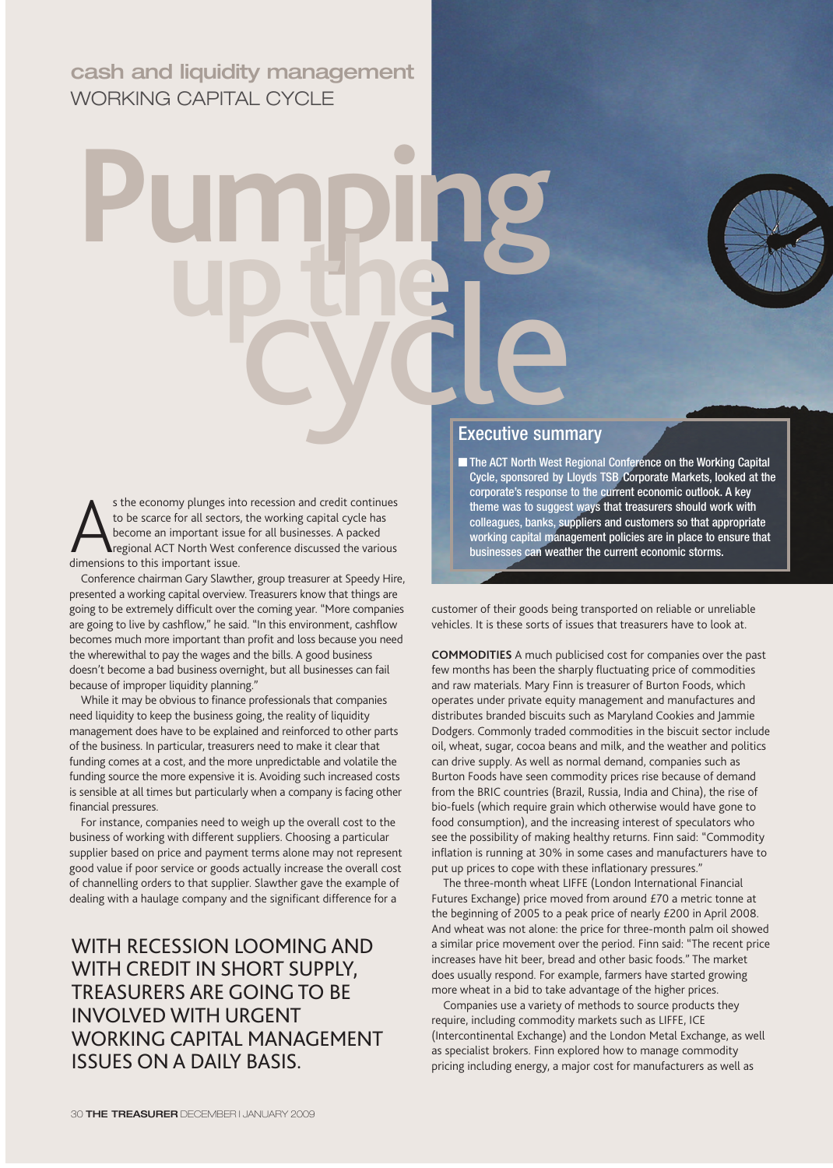# **cash and liquidity management** WORKING CAPITAL CYCLE

# **Pumping up the** cycle

s the economy plunges int<br>to be scarce for all sectors<br>become an important issue.<br>dimensions to this important issue. s the economy plunges into recession and credit continues to be scarce for all sectors, the working capital cycle has become an important issue for all businesses. A packed regional ACT North West conference discussed the various

Conference chairman Gary Slawther, group treasurer at Speedy Hire, presented a working capital overview. Treasurers know that things are going to be extremely difficult over the coming year. "More companies are going to live by cashflow," he said. "In this environment, cashflow becomes much more important than profit and loss because you need the wherewithal to pay the wages and the bills. A good business doesn't become a bad business overnight, but all businesses can fail because of improper liquidity planning."

While it may be obvious to finance professionals that companies need liquidity to keep the business going, the reality of liquidity management does have to be explained and reinforced to other parts of the business. In particular, treasurers need to make it clear that funding comes at a cost, and the more unpredictable and volatile the funding source the more expensive it is. Avoiding such increased costs is sensible at all times but particularly when a company is facing other financial pressures.

For instance, companies need to weigh up the overall cost to the business of working with different suppliers. Choosing a particular supplier based on price and payment terms alone may not represent good value if poor service or goods actually increase the overall cost of channelling orders to that supplier. Slawther gave the example of dealing with a haulage company and the significant difference for a

# WITH RECESSION LOOMING AND WITH CREDIT IN SHORT SUPPLY, TREASURERS ARE GOING TO BE INVOLVED WITH URGENT WORKING CAPITAL MANAGEMENT ISSUES ON A DAILY BASIS.

### Executive summary

■ The ACT North West Regional Conference on the Working Capital Cycle, sponsored by Lloyds TSB Corporate Markets, looked at the corporate's response to the current economic outlook. A key theme was to suggest ways that treasurers should work with colleagues, banks, suppliers and customers so that appropriate working capital management policies are in place to ensure that businesses can weather the current economic storms.

customer of their goods being transported on reliable or unreliable vehicles. It is these sorts of issues that treasurers have to look at.

**COMMODITIES** A much publicised cost for companies over the past few months has been the sharply fluctuating price of commodities and raw materials. Mary Finn is treasurer of Burton Foods, which operates under private equity management and manufactures and distributes branded biscuits such as Maryland Cookies and Jammie Dodgers. Commonly traded commodities in the biscuit sector include oil, wheat, sugar, cocoa beans and milk, and the weather and politics can drive supply. As well as normal demand, companies such as Burton Foods have seen commodity prices rise because of demand from the BRIC countries (Brazil, Russia, India and China), the rise of bio-fuels (which require grain which otherwise would have gone to food consumption), and the increasing interest of speculators who see the possibility of making healthy returns. Finn said: "Commodity inflation is running at 30% in some cases and manufacturers have to put up prices to cope with these inflationary pressures."

The three-month wheat LIFFE (London International Financial Futures Exchange) price moved from around £70 a metric tonne at the beginning of 2005 to a peak price of nearly £200 in April 2008. And wheat was not alone: the price for three-month palm oil showed a similar price movement over the period. Finn said: "The recent price increases have hit beer, bread and other basic foods." The market does usually respond. For example, farmers have started growing more wheat in a bid to take advantage of the higher prices.

Companies use a variety of methods to source products they require, including commodity markets such as LIFFE, ICE (Intercontinental Exchange) and the London Metal Exchange, as well as specialist brokers. Finn explored how to manage commodity pricing including energy, a major cost for manufacturers as well as